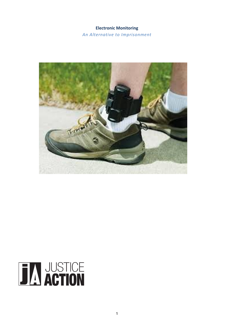## **Electronic Monitoring**

An Alternative to Imprisonment



# **TAN JUSTICE**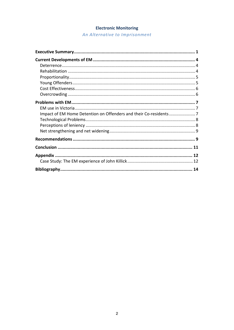# **Electronic Monitoring**

An Alternative to Imprisonment

| Impact of EM Home Detention on Offenders and their Co-residents7 |  |
|------------------------------------------------------------------|--|
|                                                                  |  |
|                                                                  |  |
|                                                                  |  |
|                                                                  |  |
|                                                                  |  |
|                                                                  |  |
|                                                                  |  |
|                                                                  |  |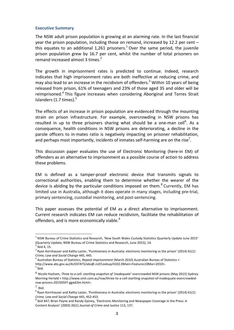#### **Executive Summary**

The NSW adult prison population is growing at an alarming rate. In the last financial year the prison population, including those on remand, increased by 12.2 per cent  $$ this equates to an additional 1,261 prisoners.<sup>1</sup> Over the same period, the juvenile prison population grew by 16.7 per cent, whilst the number of total prisoners on remand increased almost  $3 \times 2$ 

The growth in imprisonment rates is predicted to continue. Indeed, research indicates that high imprisonment rates are both ineffective at reducing crime, and may also lead to an increase in the recidivism of offenders.<sup>3</sup> Within 10 years of being released from prison, 61% of teenagers and 23% of those aged 35 and older will be reimprisoned.<sup>4</sup> This figure increases when considering Aboriginal and Torres Strait Islanders  $(1.7 \text{ times})$ .<sup>5</sup>

The effects of an increase in prison population are evidenced through the mounting strain on prison infrastructure. For example, overcrowding in NSW prisons has resulted in up to three prisoners sharing what should be a one-man cell<sup>6</sup>. As a consequence, health conditions in NSW prisons are deteriorating, a decline in the parole officers to in-mates ratio is negatively impacting on prisoner rehabilitation, and perhaps most importantly, incidents of inmates self-harming are on the rise<sup>7</sup>.

This discussion paper evaluates the use of Electronic Monitoring (here-in EM) of offenders as an alternative to imprisonment as a possible course of action to address these problems.

EM is defined as a tamper-proof electronic device that transmits signals to correctional authorities, enabling them to determine whether the wearer of the device is abiding by the particular conditions imposed on them.<sup>8</sup> Currently, EM has limited use in Australia, although it does operate in many stages, including pre-trial, primary sentencing, custodial monitoring, and post-sentencing.

This paper assesses the potential of EM as a direct alternative to imprisonment. Current research indicates EM can reduce recidivism, facilitate the rehabilitation of offenders, and is more economically viable.<sup>9</sup>

 $1$  NSW Bureau of Crime Statistics and Research, 'New South Wales Custody Statistics Quarterly Update June 2015' (Quarterly Update, NSW Bureau of Crime Statistics and Research, June 2015), 14.

 $^2$  Ibid 4, 15.

 $3$  Ryan Kornhauser and Kathy Laster, 'Punitiveness in Australia: electronic monitoring vs the prison' (2014) 61(1) Crime, Law and Social Change 445, 445.

<sup>&</sup>lt;sup>I</sup> Australian Bureau of Statistics. *Repeat Imprisonment* (March 2010) Australian Bureau of Statistics < http://www.abs.gov.au/AUSSTATS/abs@.nsf/Lookup/4102.0Main+Features10Mar+2010>.<br><sup>5</sup> Ibid.

<sup>&</sup>lt;sup>6</sup> Nicole Hasham, *Three to a cell: startling snapshot of 'inadequate' overcrowded NSW prisons (May 2015) Sydney* Morning Herlald < http://www.smh.com.au/nsw/three-to-a-cell-startling-snapshot-of-inadequate-overcrowdednsw-prisons-20150507-ggw63m.html>.

 $<sup>7</sup>$  Ibid.</sup>

 $8$  Ryan Kornhauser and Kathy Laster, 'Punitiveness in Australia: electronic monitoring vs the prison' (2014) 61(1) *Crime, Law and Social Change* 445, 452-453.<br><sup>9</sup> Ibid 447; Brian Payne and Randy Gainey, 'Electronic Monitoring and Newspaper Coverage in the Press: A

Content Analysis' (2003) 26(1) Journal of Crime and Justice 113, 137.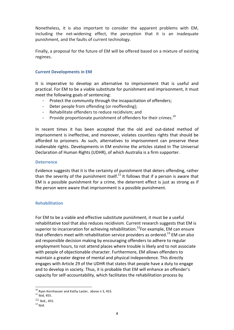Nonetheless, it is also important to consider the apparent problems with EM, including the net-widening effect, the perception that it is an inadequate punishment, and the faults of current technology.

Finally, a proposal for the future of EM will be offered based on a mixture of existing regimes. 

## **Current Developments in EM**

It is imperative to develop an alternative to imprisonment that is useful and practical. For EM to be a viable substitute for punishment and imprisonment, it must meet the following goals of sentencing:

- Protect the community through the incapacitation of offenders;
- Deter people from offending (or reoffending);
- Rehabilitate offenders to reduce recidivism; and
- Provide proportionate punishment of offenders for their crimes.<sup>10</sup>

In recent times it has been accepted that the old and out-dated method of imprisonment is ineffective, and moreover, violates countless rights that should be afforded to prisoners. As such, alternatives to imprisonment can preserve these inalienable rights. Developments in EM enshrine the articles stated in The Universal Declaration of Human Rights (UDHR), of which Australia is a firm supporter.

#### **Deterrence**

Evidence suggests that it is the certainty of punishment that deters offending, rather than the severity of the punishment itself.<sup>11</sup> It follows that if a person is aware that EM is a possible punishment for a crime, the deterrent effect is just as strong as if the person were aware that imprisonment is a possible punishment.

## **Rehabilitation**

For EM to be a viable and effective substitute punishment, it must be a useful rehabilitative tool that also reduces recidivism. Current research suggests that EM is superior to incarceration for achieving rehabilitation.<sup>12</sup>For example, EM can ensure that offenders meet with rehabilitation service providers as ordered.<sup>13</sup> EM can also aid responsible decision making by encouraging offenders to adhere to regular employment hours, to not attend places where trouble is likely and to not associate with people of objectionable character. Furthermore, EM allows offenders to maintain a greater degree of mental and physical independence. This directly engages with Article 29 of the UDHR that states that people have a duty to engage and to develop in society. Thus, it is probable that EM will enhance an offender's capacity for self-accountability, which facilitates the rehabilitation process by

 $10$  Ryan Kornhauser and Kathy Laster, above n 3, 453.  $11$  Ibid, 455.

 $12$  Ibid., 455.<br> $13$  Ibid.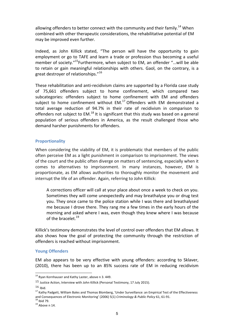allowing offenders to better connect with the community and their family.<sup>14</sup> When combined with other therapeutic considerations, the rehabilitative potential of EM may be improved even further.

Indeed, as John Killick stated, "The person will have the opportunity to gain employment or go to TAFE and learn a trade or profession thus becoming a useful member of society."<sup>15</sup>Furthermore, when subject to EM, an offender "...will be able to retain or gain meaningful relationships with others. Gaol, on the contrary, is a great destroyer of relationships."<sup>16</sup>

These rehabilitation and anti-recidivism claims are supported by a Florida case study of 75,661 offenders subject to home confinement, which compared two subcategories: offenders subject to home confinement with EM and offenders subject to home confinement without EM.<sup>17</sup> Offenders with EM demonstrated a total average reduction of 94.7% in their rate of recidivism in comparison to offenders not subject to  $EM^{18}$  It is significant that this study was based on a general population of serious offenders in America, as the result challenged those who demand harsher punishments for offenders.

## **Proportionality**

When considering the viability of EM, it is problematic that members of the public often perceive EM as a light punishment in comparison to imprisonment. The views of the court and the public often diverge on matters of sentencing, especially when it comes to alternatives to imprisonment. In many instances, however, EM is proportionate, as EM allows authorities to thoroughly monitor the movement and interrupt the life of an offender. Again, referring to John Killick:

A corrections officer will call at your place about once a week to check on you. Sometimes they will come unexpectedly and may breathalyse you or drug test you. They once came to the police station while I was there and breathalysed me because I drove there. They rang me a few times in the early hours of the morning and asked where I was, even though they knew where I was because of the bracelet.<sup>19</sup>

Killick's testimony demonstrates the level of control over offenders that EM allows. It also shows how the goal of protecting the community through the restriction of offenders is reached without imprisonment.

## **Young Offenders**

EM also appears to be very effective with young offenders: according to Sklaver, (2010), there has been up to an 85% success rate of EM in reducing recidivism

 $14$  Ryan Kornhauser and Kathy Laster, above n 3. 449.

 $15$  Justice Action, Interview with John Killick (Personal Testimony, 17 July 2015).

 $16$  Ibid.

 $17$  Kathy Padgett, William Bales and Thomas Blomberg, 'Under Surveillance: an Empirical Test of the Effectiveness and Consequences of Electronic Monitoring' (2006) 5(1) *Criminology & Public Policy* 61, 61-91.<br><sup>18</sup> Ibid 79.<br><sup>19</sup> Above n 14.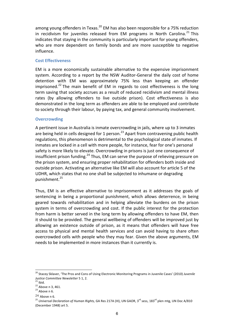among young offenders in Texas.<sup>20</sup> EM has also been responsible for a 75% reduction in recidivism for juveniles released from EM programs in North Carolina.<sup>21</sup> This indicates that staying in the community is particularly important for young offenders, who are more dependent on family bonds and are more susceptible to negative influence.

## **Cost Effectiveness**

EM is a more economically sustainable alternative to the expensive imprisonment system. According to a report by the NSW Auditor-General the daily cost of home detention with EM was approximately 75% less than keeping an offender imprisoned.<sup>22</sup> The main benefit of EM in regards to cost effectiveness is the long term saving that society accrues as a result of reduced recidivism and mental illness rates (by allowing offenders to live outside prison). Cost effectiveness is also demonstrated in the long term as offenders are able to be employed and contribute to society through their labour, by paying tax, and general community involvement.

#### **Overcrowding**

A pertinent issue in Australia is inmate overcrowding in jails, where up to 3 inmates are being held in cells designed for 1 person.<sup>23</sup> Apart from contravening public health regulations, this phenomenon is detrimental to the psychological state of inmates. If inmates are locked in a cell with more people, for instance, fear for one's personal safety is more likely to elevate. Overcrowding in prisons is just one consequence of insufficient prison funding.<sup>24</sup> Thus, EM can serve the purpose of relieving pressure on the prison system, and ensuring proper rehabilitation for offenders both inside and outside prison. Activating an alternative like EM will also account for article 5 of the UDHR, which states that no one shall be subjected to inhumane or degrading punishment.<sup>25</sup>

Thus, EM is an effective alternative to imprisonment as it addresses the goals of sentencing in being a proportional punishment, which allows deterrence, in being geared towards rehabilitation and in helping alleviate the burdens on the prison system in terms of overcrowding and cost. If the public interest for the protection from harm is better served in the long term by allowing offenders to have EM, then it should to be provided. The general wellbeing of offenders will be improved just by allowing an existence outside of prison, as it means that offenders will have free access to physical and mental health services and can avoid having to share often overcrowded cells with people who they may fear. Given the above arguments, EM needs to be implemented in more instances than it currently is.

<sup>&</sup>lt;sup>20</sup> Stacey Sklaver, 'The Pros and Cons of Using Electronic Monitoring Programs in Juvenile Cases' (2010) Juvenile *Justice Committee Newsletter* 5 1, 2.<br><sup>21</sup> Ibid. 22<br><sup>22</sup> Above n 3, 461. <sup>23</sup> Above n 6.

<sup>&</sup>lt;sup>24</sup> Above n 6.<br><sup>25</sup> Universal Declaration of Human Rights, GA Res 217A (III), UN GAOR, 3<sup>rd</sup> sess, 183<sup>rd</sup> plen mtg, UN Doc A/810 (December 1948) art 5.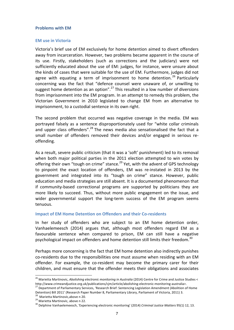#### **Problems with EM**

#### **EM** use in Victoria

Victoria's brief use of EM exclusively for home detention aimed to divert offenders away from incarceration. However, two problems became apparent in the course of its use. Firstly, stakeholders (such as corrections and the judiciary) were not sufficiently educated about the use of EM: judges, for instance, were unsure about the kinds of cases that were suitable for the use of EM. Furthermore, judges did not agree with equating a term of imprisonment to home detention.<sup>26</sup> Particularly concerning was the fact that "defence counsel were unaware of, or unwilling to suggest home detention as an option".<sup>27</sup> This resulted in a low number of diversions from imprisonment into the EM program. In an attempt to remedy this problem, the Victorian Government in 2010 legislated to change EM from an alternative to imprisonment, to a custodial sentence in its own right.

The second problem that occurred was negative coverage in the media. EM was portrayed falsely as a sentence disproportionately used for "white collar criminals and upper class offenders".<sup>28</sup> The news media also sensationalised the fact that a small number of offenders removed their devices and/or engaged in serious reoffending. 

As a result, severe public criticism (that it was a 'soft' punishment) led to its removal when both major political parties in the 2011 election attempted to win votes by offering their own "tough on crime" stance.<sup>29</sup> Yet, with the advent of GPS technology to pinpoint the exact location of offenders, EM was re-instated in 2013 by the government and integrated into its "tough on crime" stance. However, public education and media strategies are still absent. It is a documented phenomenon that if community-based correctional programs are supported by politicians they are more likely to succeed. Thus, without more public engagement on the issue, and wider governmental support the long-term success of the EM program seems tenuous.

#### **Impact of EM Home Detention on Offenders and their Co-residents**

In her study of offenders who are subject to an EM home detention order, Vanhaelemeesch (2014) argues that, although most offenders regard EM as a favourable sentence when compared to prison, EM can still have a negative psychological impact on offenders and home detention still limits their freedom.<sup>30</sup>

Perhaps more concerning is the fact that EM home detention also indirectly punishes co-residents due to the responsibilities one must assume when residing with an EM offender. For example, the co-resident may become the primary carer for their children, and must ensure that the offender meets their obligations and associates

<sup>&</sup>lt;sup>26</sup> Marietta Martinovic, *Abolishing electronic monitoring in Australia* (2014) Centre for Crime and Justice Studies < http://www.crimeandjustice.org.uk/publications/cjm/article/abolishing-electronic-monitoring-australia>.<br><sup>27</sup> Department of Parliamentary Services, 'Research Brief: Sentencing Legislation Amendment (Abolition of Home

Detention) Bill 2011' (Research Paper Number 8, Parliamentary Library, Parliament of Victoria, 2011) 3.<br><sup>28</sup> Marietta Martinovic.above n 20.

<sup>29</sup> Marietta Martinovic, above n 22.<br><sup>30</sup> Delphine Vanhaelemeesch, 'Experiencing electronic monitoring' (2014) *Criminal Justice Matters* 95(1) 12, 13.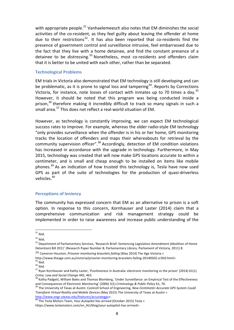with appropriate people.<sup>31</sup> Vanhaelemeesch also notes that EM diminishes the social activities of the co-resident, as they feel guilty about leaving the offender at home due to their restrictions<sup>32</sup>. It has also been reported that co-residents find the presence of government control and surveillance intrusive, feel embarrassed due to the fact that they live with a home detainee, and find the constant presence of a detainee to be distressing.<sup>33</sup> Nonetheless, most co-residents and offenders claim that it is better to be united with each other, rather than be separated.

#### **Technological Problems**

EM trials in Victoria also demonstrated that EM technology is still developing and can be problematic, as it is prone to signal loss and tampering<sup>34</sup>. Reports by Corrections Victoria, for instance, note losses of contact with inmates up to 70 times a day.<sup>35</sup> However, it should be noted that this program was being conducted inside a prison,<sup>36</sup> therefore making it incredibly difficult to track so many signals in such a small area. $37$  This does not reflect a real-world situation of EM.

However, as technology is constantly improving, we can expect EM technological success rates to improve. For example, whereas the older radio-style EM technology "only provides surveillance when the offender is in his or her home, GPS monitoring tracks the location of offenders and maps their whereabouts for retrieval by the community supervision officer".<sup>38</sup> Accordingly, detection of EM condition violations has increased in accordance with the upgrade in technology. Furthermore, in May 2015, technology was created that will now make GPS locations accurate to within a centimeter, and is small and cheap enough to be installed on items like mobile phones.<sup>39</sup> As an indication of how trusted this technology is, Tesla have now used GPS as part of the suite of technologies for the production of quasi-driverless vehicles.<sup>40</sup>

## **Perceptions of leniency**

The community has expressed concern that EM as an alternative to prison is a soft option. In response to this concern, Kornhauser and Laster (2014) claim that a comprehensive communication and risk management strategy could be implemented in order to raise awareness and increase public understanding of the

 $31$  Ibid.

 $32$  Ibid.<br> $33$  Department of Parliamentary Services, 'Research Brief: Sentencing Legislation Amendment (Abolition of Home Detention) Bill 2011' (Research Paper Number 8, Parliamentary Library, Parliament of Victoria, 2011) 8.

<sup>&</sup>lt;sup>34</sup> Cameron Houston, *Prisoner monitoring bracelets failing* (May 2014) The Age Victoria <

State of the price of the victoria (with a state of the victoria s<br>35 Ibid.<br>36 Ibid.<br>36 Ibid.<br>37 Rvan Kornhauser and Kathy Laster, 'Punitiveness in Australia: electronic monitoring vs the prison' (2014) 61(1) *Crime, Law and Social Change* 445, 463.<br><sup>38</sup> Kathy Padgett, William Bales and Thomas Blomberg, 'Under Surveillance: an Empirical Test of the Effectiveness

and Consequences of Electronic Monitoring' (2006) 5(1) *Criminology & Public Policy* 61, 70.<br><sup>39</sup> The University of Texas at Austin: Cockrell School of Engineering, *New Centimeter-Accurate GPS System Could* 

*Transform Virtual Reality and Mobile Devices* (May 2015) The University of Texas at Austin <

http://www.engr.utexas.edu/features/accurategps>.<br><sup>40</sup> The Tesla Motors Team, *Your Autopilot has arrived* (October 2015) Tesla <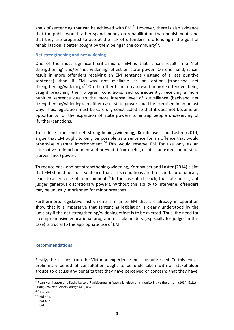goals of sentencing that can be achieved with  $EM.<sup>41</sup>$  However, there is also evidence that the public would rather spend money on rehabilitation than punishment, and that they are prepared to accept the risk of offenders re-offending if the goal of rehabilitation is better sought by them being in the community  $42$ .

#### **Net strengthening and net widening**

One of the most significant criticisms of EM is that it can result in a 'net strengthening' and/or 'net widening' effect on state power. On one hand, it can result in more offenders receiving an EM sentence (instead of a less punitive sentence) than if EM was not available as an option (front-end net strengthening/widening).<sup>43</sup> On the other hand, it can result in more offenders being caught breaching their program conditions, and consequently, receiving a more punitive sentence due to the more intense level of surveillance (back-end net strengthening/widening). In either case, state power could be exercised in an unjust way. Thus, legislation must be carefully constructed so that it does not become an opportunity for the expansion of state powers to entrap people undeserving of (further) sanctions.

To reduce front-end net strengthening/widening, Kornhauser and Laster (2014) argue that EM ought to only be possible as a sentence for an offence that would otherwise warrant imprisonment.  $44$  This would reserve EM for use only as an alternative to imprisonment and prevent it from being used as an extension of state (surveillance) powers.

To reduce back-end net strengthening/widening, Kornhauser and Laster (2014) claim that EM should not be a sentence that, if its conditions are breached, automatically leads to a sentence of imprisonment.<sup>45</sup> In the case of a breach, the state must grant judges generous discretionary powers. Without this ability to intervene, offenders may be unjustly imprisoned for minor breaches.

Furthermore, legislative instruments similar to EM that are already in operation show that it is imperative that sentencing legislation is clearly understood by the judiciary if the net strengthening/widening effect is to be averted. Thus, the need for a comprehensive educational program for stakeholders (especially for judges in this case) is crucial to the appropriate use of EM.

## **Recommendations**

Firstly, the lessons from the Victorian experience must be addressed. To this end, a preliminary period of consultation ought to be undertaken with all stakeholder groups to discuss any benefits that they have perceived or concerns that they have.

 $^{42}$  Ibid 464.<br> $^{43}$  Ibid 461.

 $41$ Ryan Kornhauser and Kathy Laster, 'Punitiveness in Australia: electronic monitoring vs the prison' (2014) 61(1) *Crime, Law and Social Change* 445, 464.

 $^{44}$  Ibid 462.<br> $^{45}$  Ibid.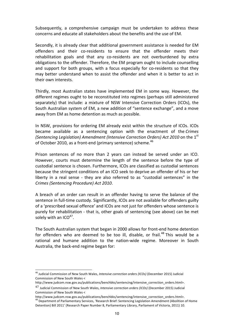Subsequently, a comprehensive campaign must be undertaken to address these concerns and educate all stakeholders about the benefits and the use of FM.

Secondly, it is already clear that additional government assistance is needed for EM offenders and their co-residents to ensure that the offender meets their rehabilitation goals and that any co-residents are not overburdened by extra obligations to the offender. Therefore, the EM program ought to include counselling and support for both groups, with a focus especially for co-residents so that they may better understand when to assist the offender and when it is better to act in their own interests.

Thirdly, most Australian states have implemented EM in some way. However, the different regimes ought to be reconstituted into regimes (perhaps still administered separately) that include: a mixture of NSW Intensive Correction Orders (ICOs), the South Australian system of EM, a new addition of "sentence exchange", and a move away from EM as home detention as much as possible.

In NSW, provisions for ordering EM already exist within the structure of ICOs. ICOs became available as a sentencing option with the enactment of the *Crimes (Sentencing Legislation) Amendment (Intensive Correction Orders) Act 2010* on the 1<sup>st</sup> of October 2010, as a front-end (primary sentence) scheme.<sup>46</sup>

Prison sentences of no more than 2 years can instead be served under an ICO. However, courts must determine the length of the sentence before the type of custodial sentence is chosen. Furthermore, ICOs are classified as custodial sentences because the stringent conditions of an ICO seek to deprive an offender of his or her liberty in a real sense - they are also referred to as "custodial sentences" in the *Crimes (Sentencing Procedure) Act 2010*. 

A breach of an order can result in an offender having to serve the balance of the sentence in full-time custody. Significantly, ICOs are not available for offenders guilty of a 'prescribed sexual offence' and ICOs are not just for offenders whose sentence is purely for rehabilitation - that is, other goals of sentencing (see above) can be met solely with an  $ICO^{47}$ .

The South Australian system that began in 2000 allows for front-end home detention for offenders who are deemed to be too ill, disable, or frail.<sup>48</sup> This would be a rational and humane addition to the nation-wide regime. Moreover in South Australia, the back-end regime began for:

<sup>&</sup>lt;sup>46</sup> Judicial Commission of New South Wales, *Intensive correction orders (ICOs)* (December 2015) Judicial Commission of New South Wales <

http://www.judcom.nsw.gov.au/publications/benchbks/sentencing/intensive\_correction\_orders.html>.

<sup>&</sup>lt;sup>47</sup> Judicial Commission of New South Wales, *Intensive correction orders (ICOs)* (December 2015) Judicial Commission of New South Wales <

http://www.judcom.nsw.gov.au/publications/benchbks/sentencing/intensive\_correction\_orders.html>.<br><sup>48</sup> Department of Parliamentary Services, 'Research Brief: Sentencing Legislation Amendment (Abolition of Home Detention) Bill 2011' (Research Paper Number 8, Parliamentary Library, Parliament of Victoria, 2011) 10.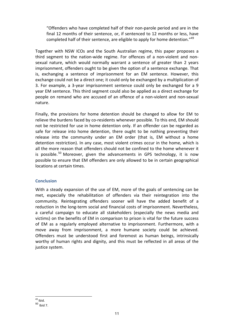"Offenders who have completed half of their non-parole period and are in the final 12 months of their sentence, or, if sentenced to 12 months or less, have completed half of their sentence, are eligible to apply for home detention."<sup>49</sup>

Together with NSW ICOs and the South Australian regime, this paper proposes a third segment to the nation-wide regime. For offences of a non-violent and nonsexual nature, which would normally warrant a sentence of greater than 2 years imprisonment, offenders ought to be given the option of a sentence exchange. That is, exchanging a sentence of imprisonment for an EM sentence. However, this exchange could not be a direct one; it could only be exchanged by a multiplication of 3. For example, a 3-year imprisonment sentence could only be exchanged for a 9 year EM sentence. This third segment could also be applied as a direct exchange for people on remand who are accused of an offence of a non-violent and non-sexual nature.

Finally, the provisions for home detention should be changed to allow for EM to relieve the burdens faced by co-residents whenever possible. To this end, EM should not be restricted for use in home detention only. If an offender can be regarded as safe for release into home detention, there ought to be nothing preventing their release into the community under an EM order (that is, EM without a home detention restriction). In any case, most violent crimes occur in the home, which is all the more reason that offenders should not be confined to the home whenever it is possible.<sup>50</sup> Moreover, given the advancements in GPS technology, it is now possible to ensure that EM offenders are only allowed to be in certain geographical locations at certain times. 

## **Conclusion**

With a steady expansion of the use of EM, more of the goals of sentencing can be met, especially the rehabilitation of offenders via their reintegration into the community. Reintegrating offenders sooner will have the added benefit of a reduction in the long-term social and financial costs of imprisonment. Nevertheless, a careful campaign to educate all stakeholders (especially the news media and victims) on the benefits of EM in comparison to prison is vital for the future success of EM as a regularly employed alternative to imprisonment. Furthermore, with a move away from imprisonment, a more humane society could be achieved. Offenders must be understood first and foremost as human beings, intrinsically worthy of human rights and dignity, and this must be reflected in all areas of the justice system.

<sup>50</sup> Ibid 7.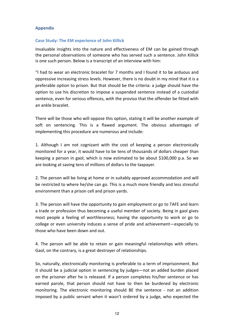## **Appendix**

## **Case Study: The EM experience of John Killick**

Invaluable insights into the nature and effectiveness of EM can be gained through the personal observations of someone who has served such a sentence. John Killick is one such person. Below is a transcript of an interview with him:

"I had to wear an electronic bracelet for 7 months and I found it to be arduous and oppressive increasing stress levels. However, there is no doubt in my mind that it is a preferable option to prison. But that should be the criteria: a judge should have the option to use his discretion to impose a suspended sentence instead of a custodial sentence, even for serious offences, with the proviso that the offender be fitted with an ankle bracelet.

There will be those who will oppose this option, stating it will be another example of soft on sentencing. This is a flawed argument. The obvious advantages of implementing this procedure are numerous and include:

1. Although I am not cognizant with the cost of keeping a person electronically monitored for a year, it would have to be tens of thousands of dollars cheaper than keeping a person in gaol, which is now estimated to be about \$100,000 p.a. So we are looking at saving tens of millions of dollars to the taxpayer.

2. The person will be living at home or in suitably approved accommodation and will be restricted to where he/she can go. This is a much more friendly and less stressful environment than a prison cell and prison vards.

3. The person will have the opportunity to gain employment or go to TAFE and learn a trade or profession thus becoming a useful member of society. Being in gaol gives most people a feeling of worthlessness; having the opportunity to work or go to college or even university induces a sense of pride and achievement—especially to those who have been down and out.

4. The person will be able to retain or gain meaningful relationships with others. Gaol, on the contrary, is a great destroyer of relationships.

So, naturally, electronically monitoring is preferable to a term of imprisonment. But it should be a judicial option in sentencing by judges—not an added burden placed on the prisoner after he is released. If a person completes his/her sentence or has earned parole, that person should not have to then be burdened by electronic monitoring. The electronic monitoring should BE the sentence - not an addition imposed by a public servant when it wasn't ordered by a judge, who expected the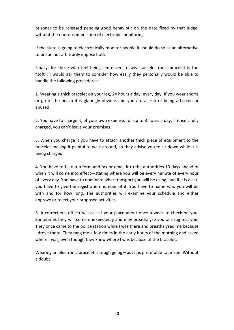prisoner to be released pending good behaviour on the date fixed by that judge, without the onerous imposition of electronic monitoring.

If the state is going to electronically monitor people it should do so as an alternative to prison not arbitrarily impose both.

Finally, for those who feel being sentenced to wear an electronic bracelet is too "soft", I would ask them to consider how easily they personally would be able to handle the following procedures:

1. Wearing a thick bracelet on your leg, 24 hours a day, every day. If you wear shorts or go to the beach it is glaringly obvious and you are at risk of being attacked or abused.

2. You have to charge it, at your own expense, for up to 3 hours a day. If it isn't fully charged, you can't leave your premises.

3. When you charge it you have to attach another thick piece of equipment to the bracelet making it painful to walk around, so they advise you to sit down while it is being charged.

4. You have to fill out a form and fax or email it to the authorities 10 days ahead of when it will come into effect-stating where you will be every minute of every hour of every day. You have to nominate what transport you will be using, and if it is a car, you have to give the registration number of it. You have to name who you will be with and for how long. The authorities will examine your schedule and either approve or reject your proposed activities.

5. A corrections officer will call at your place about once a week to check on you. Sometimes they will come unexpectedly and may breathalyse you or drug test you. They once came to the police station while I was there and breathalysed me because I drove there. They rang me a few times in the early hours of the morning and asked where I was, even though they knew where I was because of the bracelet.

Wearing an electronic bracelet is tough going—but it is preferable to prison. Without a doubt.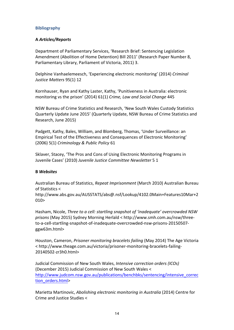## **Bibliography**

## **A** *Articles/Reports*

Department of Parliamentary Services, 'Research Brief: Sentencing Legislation Amendment (Abolition of Home Detention) Bill 2011' (Research Paper Number 8, Parliamentary Library, Parliament of Victoria, 2011) 3.

Delphine Vanhaelemeesch, 'Experiencing electronic monitoring' (2014) *Criminal Justice Matters* 95(1) 12

Kornhauser, Ryan and Kathy Laster, Kathy, 'Punitiveness in Australia: electronic monitoring vs the prison' (2014) 61(1) Crime, Law and Social Change 445

NSW Bureau of Crime Statistics and Research, 'New South Wales Custody Statistics Quarterly Update June 2015' (Quarterly Update, NSW Bureau of Crime Statistics and Research, June 2015)

Padgett, Kathy, Bales, William, and Blomberg, Thomas, 'Under Surveillance: an Empirical Test of the Effectiveness and Consequences of Electronic Monitoring' (2006) 5(1) *Criminology & Public Policy* 61

Sklaver, Stacey, 'The Pros and Cons of Using Electronic Monitoring Programs in Juvenile Cases' (2010) Juvenile Justice Committee Newsletter 5 1

## **B** *Websites*

Australian Bureau of Statistics, *Repeat Imprisonment* (March 2010) Australian Bureau of Statistics <

http://www.abs.gov.au/AUSSTATS/abs@.nsf/Lookup/4102.0Main+Features10Mar+2  $010$ 

Hasham, Nicole, *Three to a cell: startling snapshot of 'inadequate' overcrowded NSW* prisons (May 2015) Sydney Morning Herlald < http://www.smh.com.au/nsw/threeto-a-cell-startling-snapshot-of-inadequate-overcrowded-nsw-prisons-20150507 ggw63m.html>

Houston, Cameron, *Prisoner monitoring bracelets failing* (May 2014) The Age Victoria < http://www.theage.com.au/victoria/prisoner-monitoring-bracelets-failing-20140502-zr3h0.html>

Judicial Commission of New South Wales, *Intensive correction orders* (ICOs) (December 2015) Judicial Commission of New South Wales < http://www.judcom.nsw.gov.au/publications/benchbks/sentencing/intensive\_correc tion\_orders.html>

Marietta Martinovic, *Abolishing electronic monitoring in Australia* (2014) Centre for Crime and Justice Studies <